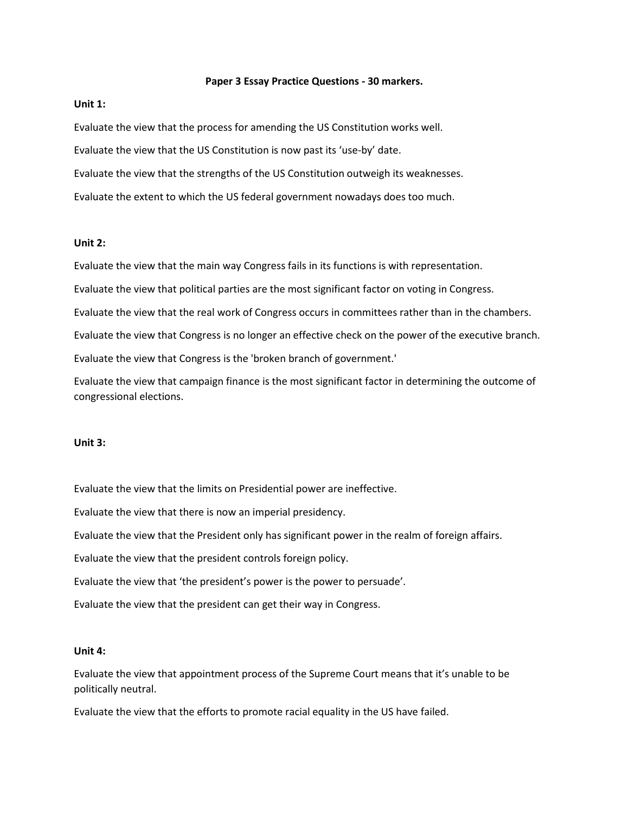### **Paper 3 Essay Practice Questions - 30 markers.**

# **Unit 1:**

Evaluate the view that the process for amending the US Constitution works well. Evaluate the view that the US Constitution is now past its 'use-by' date. Evaluate the view that the strengths of the US Constitution outweigh its weaknesses. Evaluate the extent to which the US federal government nowadays does too much.

## **Unit 2:**

Evaluate the view that the main way Congress fails in its functions is with representation. Evaluate the view that political parties are the most significant factor on voting in Congress. Evaluate the view that the real work of Congress occurs in committees rather than in the chambers. Evaluate the view that Congress is no longer an effective check on the power of the executive branch. Evaluate the view that Congress is the 'broken branch of government.'

Evaluate the view that campaign finance is the most significant factor in determining the outcome of congressional elections.

### **Unit 3:**

Evaluate the view that the limits on Presidential power are ineffective.

Evaluate the view that there is now an imperial presidency.

Evaluate the view that the President only has significant power in the realm of foreign affairs.

Evaluate the view that the president controls foreign policy.

Evaluate the view that 'the president's power is the power to persuade'.

Evaluate the view that the president can get their way in Congress.

#### **Unit 4:**

Evaluate the view that appointment process of the Supreme Court means that it's unable to be politically neutral.

Evaluate the view that the efforts to promote racial equality in the US have failed.